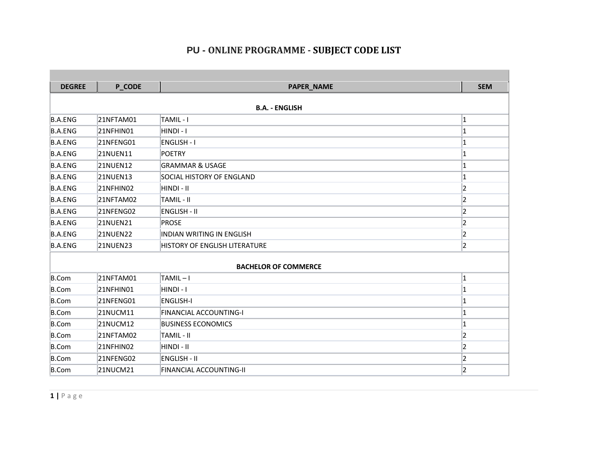| <b>DEGREE</b>         | <b>P_CODE</b>   | <b>PAPER_NAME</b>                | <b>SEM</b> |  |  |  |  |
|-----------------------|-----------------|----------------------------------|------------|--|--|--|--|
|                       |                 |                                  |            |  |  |  |  |
| <b>B.A. - ENGLISH</b> |                 |                                  |            |  |  |  |  |
| <b>B.A.ENG</b>        | 21NFTAM01       | TAMIL-I                          | 1          |  |  |  |  |
| <b>B.A.ENG</b>        | 21NFHIN01       | HINDI - I                        |            |  |  |  |  |
| <b>B.A.ENG</b>        | 21NFENG01       | <b>ENGLISH - I</b>               |            |  |  |  |  |
| B.A.ENG               | 21NUEN11        | <b>POETRY</b>                    |            |  |  |  |  |
| <b>B.A.ENG</b>        | 21NUEN12        | <b>GRAMMAR &amp; USAGE</b>       |            |  |  |  |  |
| <b>B.A.ENG</b>        | 21NUEN13        | <b>SOCIAL HISTORY OF ENGLAND</b> |            |  |  |  |  |
| <b>B.A.ENG</b>        | 21NFHIN02       | HINDI - II                       | 2          |  |  |  |  |
| <b>B.A.ENG</b>        | 21NFTAM02       | TAMIL - II                       | っ          |  |  |  |  |
| <b>B.A.ENG</b>        | 21NFENG02       | <b>ENGLISH - II</b>              | 2          |  |  |  |  |
| <b>B.A.ENG</b>        | 21NUEN21        | <b>PROSE</b>                     |            |  |  |  |  |
| <b>B.A.ENG</b>        | <b>21NUEN22</b> | <b>INDIAN WRITING IN ENGLISH</b> | 12         |  |  |  |  |
| <b>B.A.ENG</b>        | 21NUEN23        | HISTORY OF ENGLISH LITERATURE    | 2          |  |  |  |  |
|                       |                 |                                  |            |  |  |  |  |
|                       |                 | <b>BACHELOR OF COMMERCE</b>      |            |  |  |  |  |
| B.Com                 | 21NFTAM01       | TAMIL-I                          | 1          |  |  |  |  |
| B.Com                 | 21NFHIN01       | HINDI - I                        |            |  |  |  |  |
| B.Com                 | 21NFENG01       | <b>ENGLISH-I</b>                 |            |  |  |  |  |
| B.Com                 | 21NUCM11        | FINANCIAL ACCOUNTING-I           |            |  |  |  |  |
| B.Com                 | 21NUCM12        | <b>BUSINESS ECONOMICS</b>        |            |  |  |  |  |
| B.Com                 | 21NFTAM02       | TAMIL - II                       | 2          |  |  |  |  |
| B.Com                 | 21NFHIN02       | HINDI - II                       |            |  |  |  |  |
| B.Com                 | 21NFENG02       | <b>ENGLISH - II</b>              | 2          |  |  |  |  |
| B.Com                 | 21NUCM21        | FINANCIAL ACCOUNTING-II          | 2          |  |  |  |  |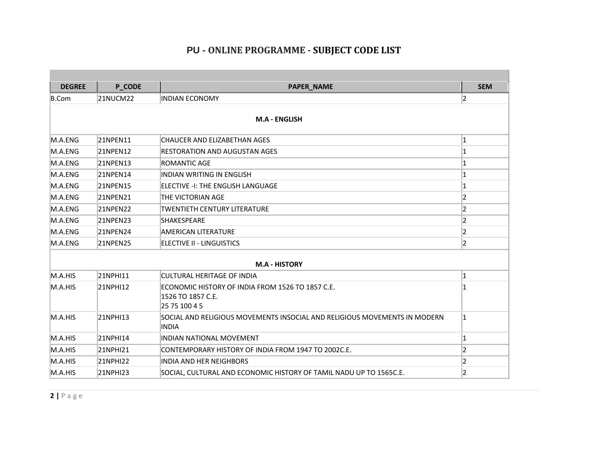| <b>DEGREE</b>        | <b>P_CODE</b>   | <b>PAPER_NAME</b>                                                                      | <b>SEM</b>     |  |  |  |
|----------------------|-----------------|----------------------------------------------------------------------------------------|----------------|--|--|--|
| B.Com                | 21NUCM22        | <b>INDIAN ECONOMY</b>                                                                  | 2              |  |  |  |
| <b>M.A - ENGLISH</b> |                 |                                                                                        |                |  |  |  |
| M.A.ENG              | <b>21NPEN11</b> | CHAUCER AND ELIZABETHAN AGES                                                           | 1              |  |  |  |
| M.A.ENG              | 21NPEN12        | RESTORATION AND AUGUSTAN AGES                                                          |                |  |  |  |
| M.A.ENG              | 21NPEN13        | ROMANTIC AGE                                                                           |                |  |  |  |
| M.A.ENG              | 21NPEN14        | <b>INDIAN WRITING IN ENGLISH</b>                                                       |                |  |  |  |
| M.A.ENG              | 21NPEN15        | ELECTIVE -I: THE ENGLISH LANGUAGE                                                      |                |  |  |  |
| M.A.ENG              | 21NPEN21        | THE VICTORIAN AGE                                                                      | 2              |  |  |  |
| M.A.ENG              | 21NPEN22        | TWENTIETH CENTURY LITERATURE                                                           | 2              |  |  |  |
| M.A.ENG              | 21NPEN23        | <b>SHAKESPEARE</b>                                                                     | 2              |  |  |  |
| M.A.ENG              | 21NPEN24        | <b>AMERICAN LITERATURE</b>                                                             | 2              |  |  |  |
| M.A.ENG              | <b>21NPEN25</b> | ELECTIVE II - LINGUISTICS                                                              | $\overline{2}$ |  |  |  |
|                      |                 | <b>M.A - HISTORY</b>                                                                   |                |  |  |  |
| M.A.HIS              | 21NPHI11        | CULTURAL HERITAGE OF INDIA                                                             |                |  |  |  |
| M.A.HIS              | 21NPHI12        | ECONOMIC HISTORY OF INDIA FROM 1526 TO 1857 C.E.<br>1526 TO 1857 C.E.<br>25 75 100 4 5 |                |  |  |  |
| M.A.HIS              | 21NPHI13        | SOCIAL AND RELIGIOUS MOVEMENTS INSOCIAL AND RELIGIOUS MOVEMENTS IN MODERN<br>INDIA     | 11             |  |  |  |
| M.A.HIS              | 21NPHI14        | <b>INDIAN NATIONAL MOVEMENT</b>                                                        |                |  |  |  |
| M.A.HIS              | 21NPHI21        | CONTEMPORARY HISTORY OF INDIA FROM 1947 TO 2002C.E.                                    |                |  |  |  |
| M.A.HIS              | 21NPHI22        | <b>INDIA AND HER NEIGHBORS</b>                                                         | 2              |  |  |  |
| M.A.HIS              | 21NPHI23        | SOCIAL, CULTURAL AND ECONOMIC HISTORY OF TAMIL NADU UP TO 1565C.E.                     | 2              |  |  |  |

**2 |** P a g e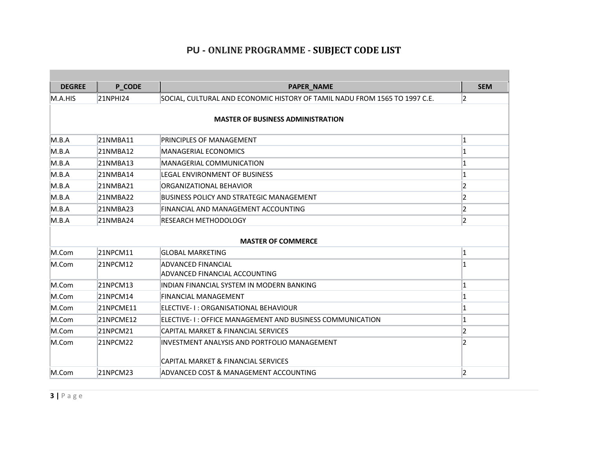| <b>DEGREE</b> | <b>P_CODE</b> | <b>PAPER_NAME</b>                                                          | <b>SEM</b> |  |  |  |
|---------------|---------------|----------------------------------------------------------------------------|------------|--|--|--|
| M.A.HIS       | 21NPHI24      | SOCIAL, CULTURAL AND ECONOMIC HISTORY OF TAMIL NADU FROM 1565 TO 1997 C.E. | 12         |  |  |  |
|               |               | <b>MASTER OF BUSINESS ADMINISTRATION</b>                                   |            |  |  |  |
| M.B.A         | 21NMBA11      | PRINCIPLES OF MANAGEMENT                                                   | 1          |  |  |  |
| M.B.A         | 21NMBA12      | <b>MANAGERIAL ECONOMICS</b>                                                |            |  |  |  |
| M.B.A         | 21NMBA13      | <b>MANAGERIAL COMMUNICATION</b>                                            |            |  |  |  |
| M.B.A         | 21NMBA14      | <b>LEGAL ENVIRONMENT OF BUSINESS</b>                                       |            |  |  |  |
| M.B.A         | 21NMBA21      | ORGANIZATIONAL BEHAVIOR                                                    |            |  |  |  |
| M.B.A         | 21NMBA22      | <b>BUSINESS POLICY AND STRATEGIC MANAGEMENT</b>                            | 2          |  |  |  |
| M.B.A         | 21NMBA23      | FINANCIAL AND MANAGEMENT ACCOUNTING                                        | 2          |  |  |  |
| M.B.A         | 21NMBA24      | RESEARCH METHODOLOGY                                                       | 2          |  |  |  |
|               |               | <b>MASTER OF COMMERCE</b>                                                  |            |  |  |  |
| M.Com         | 21NPCM11      | GLOBAL MARKETING                                                           | 1          |  |  |  |
| M.Com         | 21NPCM12      | ADVANCED FINANCIAL<br>ADVANCED FINANCIAL ACCOUNTING                        |            |  |  |  |
| M.Com         | 21NPCM13      | INDIAN FINANCIAL SYSTEM IN MODERN BANKING                                  |            |  |  |  |
| M.Com         | 21NPCM14      | FINANCIAL MANAGEMENT                                                       |            |  |  |  |
| M.Com         | 21NPCME11     | ELECTIVE- I : ORGANISATIONAL BEHAVIOUR                                     |            |  |  |  |
| M.Com         | 21NPCME12     | ELECTIVE-1: OFFICE MANAGEMENT AND BUSINESS COMMUNICATION                   |            |  |  |  |
| M.Com         | 21NPCM21      | CAPITAL MARKET & FINANCIAL SERVICES                                        | 2          |  |  |  |
| M.Com         | 21NPCM22      | INVESTMENT ANALYSIS AND PORTFOLIO MANAGEMENT                               | 2          |  |  |  |
|               |               | CAPITAL MARKET & FINANCIAL SERVICES                                        |            |  |  |  |
| M.Com         | 21NPCM23      | ADVANCED COST & MANAGEMENT ACCOUNTING                                      | 2          |  |  |  |